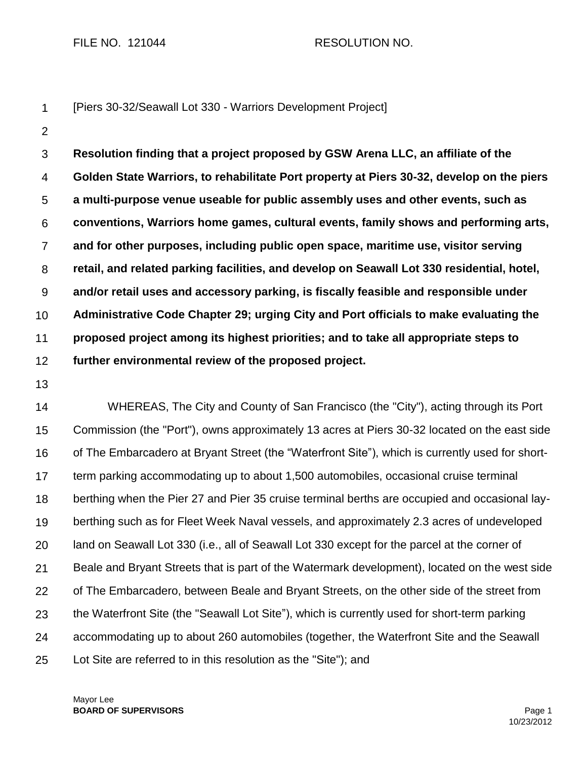FILE NO. 121044 RESOLUTION NO.

|  | [Piers 30-32/Seawall Lot 330 - Warriors Development Project] |  |
|--|--------------------------------------------------------------|--|
|--|--------------------------------------------------------------|--|

2

3 4 5 6 7 8 9 10 11 12 **Resolution finding that a project proposed by GSW Arena LLC, an affiliate of the Golden State Warriors, to rehabilitate Port property at Piers 30-32, develop on the piers a multi-purpose venue useable for public assembly uses and other events, such as conventions, Warriors home games, cultural events, family shows and performing arts, and for other purposes, including public open space, maritime use, visitor serving retail, and related parking facilities, and develop on Seawall Lot 330 residential, hotel, and/or retail uses and accessory parking, is fiscally feasible and responsible under Administrative Code Chapter 29; urging City and Port officials to make evaluating the proposed project among its highest priorities; and to take all appropriate steps to further environmental review of the proposed project.**

13

14 15 16 17 18 19 20 21 22 23 24 25 WHEREAS, The City and County of San Francisco (the "City"), acting through its Port Commission (the "Port"), owns approximately 13 acres at Piers 30-32 located on the east side of The Embarcadero at Bryant Street (the "Waterfront Site"), which is currently used for shortterm parking accommodating up to about 1,500 automobiles, occasional cruise terminal berthing when the Pier 27 and Pier 35 cruise terminal berths are occupied and occasional layberthing such as for Fleet Week Naval vessels, and approximately 2.3 acres of undeveloped land on Seawall Lot 330 (i.e., all of Seawall Lot 330 except for the parcel at the corner of Beale and Bryant Streets that is part of the Watermark development), located on the west side of The Embarcadero, between Beale and Bryant Streets, on the other side of the street from the Waterfront Site (the "Seawall Lot Site"), which is currently used for short-term parking accommodating up to about 260 automobiles (together, the Waterfront Site and the Seawall Lot Site are referred to in this resolution as the "Site"); and

Mayor Lee **BOARD OF SUPERVISORS** Page 1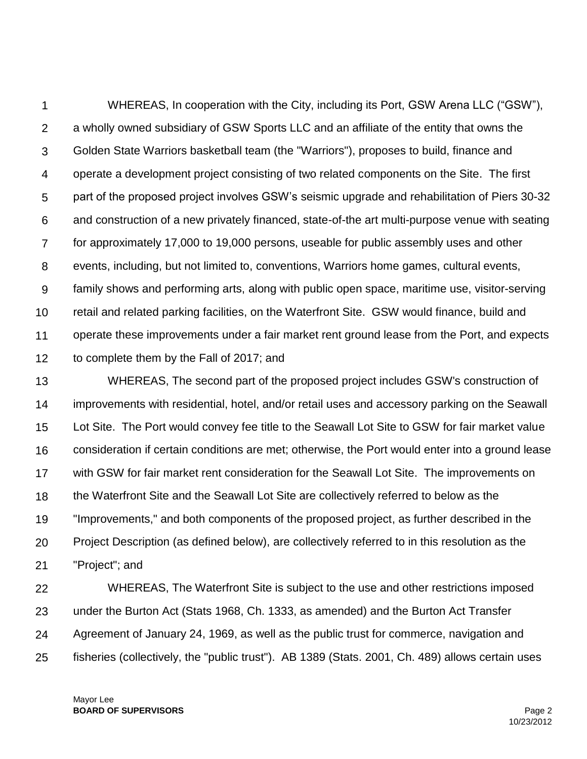1  $\mathcal{P}$ 3 4 5 6 7 8 9 10 11 12 WHEREAS, In cooperation with the City, including its Port, GSW Arena LLC ("GSW"), a wholly owned subsidiary of GSW Sports LLC and an affiliate of the entity that owns the Golden State Warriors basketball team (the "Warriors"), proposes to build, finance and operate a development project consisting of two related components on the Site. The first part of the proposed project involves GSW's seismic upgrade and rehabilitation of Piers 30-32 and construction of a new privately financed, state-of-the art multi-purpose venue with seating for approximately 17,000 to 19,000 persons, useable for public assembly uses and other events, including, but not limited to, conventions, Warriors home games, cultural events, family shows and performing arts, along with public open space, maritime use, visitor-serving retail and related parking facilities, on the Waterfront Site. GSW would finance, build and operate these improvements under a fair market rent ground lease from the Port, and expects to complete them by the Fall of 2017; and

13 14 15 16 17 18 19 20 21 WHEREAS, The second part of the proposed project includes GSW's construction of improvements with residential, hotel, and/or retail uses and accessory parking on the Seawall Lot Site. The Port would convey fee title to the Seawall Lot Site to GSW for fair market value consideration if certain conditions are met; otherwise, the Port would enter into a ground lease with GSW for fair market rent consideration for the Seawall Lot Site. The improvements on the Waterfront Site and the Seawall Lot Site are collectively referred to below as the "Improvements," and both components of the proposed project, as further described in the Project Description (as defined below), are collectively referred to in this resolution as the "Project"; and

22 23 24 25 WHEREAS, The Waterfront Site is subject to the use and other restrictions imposed under the Burton Act (Stats 1968, Ch. 1333, as amended) and the Burton Act Transfer Agreement of January 24, 1969, as well as the public trust for commerce, navigation and fisheries (collectively, the "public trust"). AB 1389 (Stats. 2001, Ch. 489) allows certain uses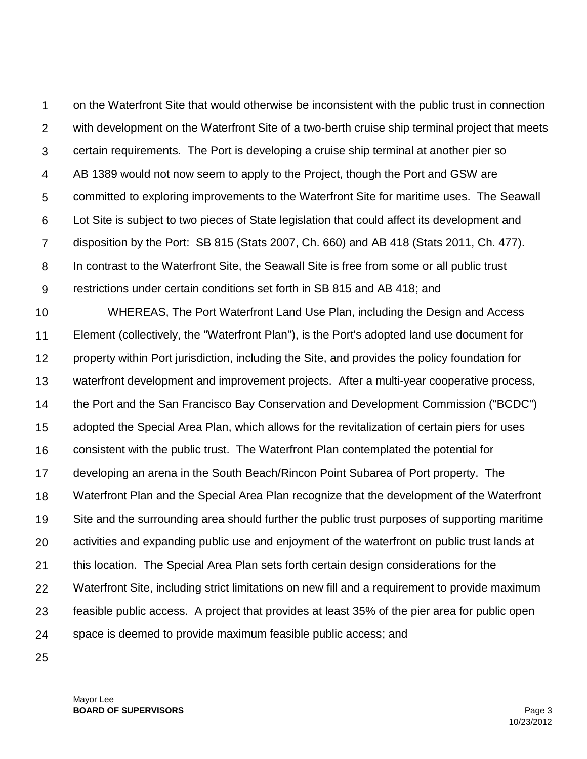1  $\mathcal{P}$ 3 4 5 6 7 8 9 on the Waterfront Site that would otherwise be inconsistent with the public trust in connection with development on the Waterfront Site of a two-berth cruise ship terminal project that meets certain requirements. The Port is developing a cruise ship terminal at another pier so AB 1389 would not now seem to apply to the Project, though the Port and GSW are committed to exploring improvements to the Waterfront Site for maritime uses. The Seawall Lot Site is subject to two pieces of State legislation that could affect its development and disposition by the Port: SB 815 (Stats 2007, Ch. 660) and AB 418 (Stats 2011, Ch. 477). In contrast to the Waterfront Site, the Seawall Site is free from some or all public trust restrictions under certain conditions set forth in SB 815 and AB 418; and

10 11 12 13 14 15 16 17 18 19 20 21 22 23 24 WHEREAS, The Port Waterfront Land Use Plan, including the Design and Access Element (collectively, the "Waterfront Plan"), is the Port's adopted land use document for property within Port jurisdiction, including the Site, and provides the policy foundation for waterfront development and improvement projects. After a multi-year cooperative process, the Port and the San Francisco Bay Conservation and Development Commission ("BCDC") adopted the Special Area Plan, which allows for the revitalization of certain piers for uses consistent with the public trust. The Waterfront Plan contemplated the potential for developing an arena in the South Beach/Rincon Point Subarea of Port property. The Waterfront Plan and the Special Area Plan recognize that the development of the Waterfront Site and the surrounding area should further the public trust purposes of supporting maritime activities and expanding public use and enjoyment of the waterfront on public trust lands at this location. The Special Area Plan sets forth certain design considerations for the Waterfront Site, including strict limitations on new fill and a requirement to provide maximum feasible public access. A project that provides at least 35% of the pier area for public open space is deemed to provide maximum feasible public access; and

25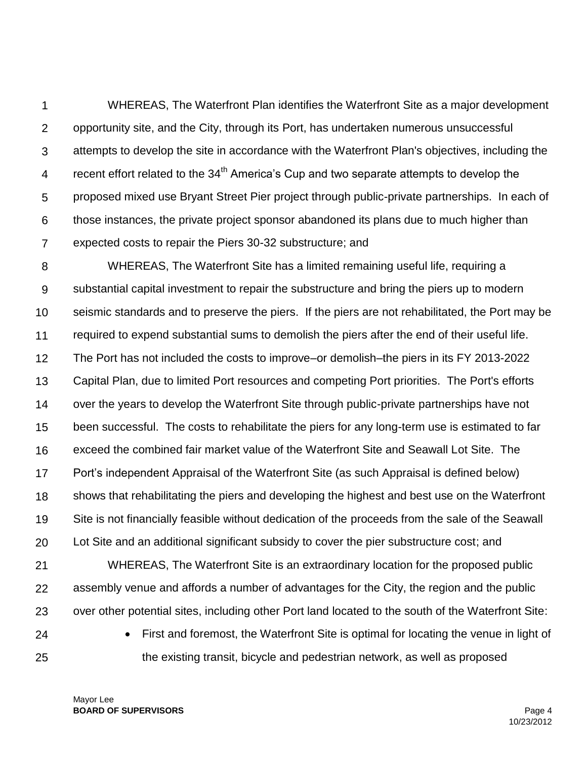1  $\mathcal{P}$ 3 4 5 6 7 WHEREAS, The Waterfront Plan identifies the Waterfront Site as a major development opportunity site, and the City, through its Port, has undertaken numerous unsuccessful attempts to develop the site in accordance with the Waterfront Plan's objectives, including the recent effort related to the 34<sup>th</sup> America's Cup and two separate attempts to develop the proposed mixed use Bryant Street Pier project through public-private partnerships. In each of those instances, the private project sponsor abandoned its plans due to much higher than expected costs to repair the Piers 30-32 substructure; and

8 9 10 11 12 13 14 15 16 17 18 19 20 WHEREAS, The Waterfront Site has a limited remaining useful life, requiring a substantial capital investment to repair the substructure and bring the piers up to modern seismic standards and to preserve the piers. If the piers are not rehabilitated, the Port may be required to expend substantial sums to demolish the piers after the end of their useful life. The Port has not included the costs to improve–or demolish–the piers in its FY 2013-2022 Capital Plan, due to limited Port resources and competing Port priorities. The Port's efforts over the years to develop the Waterfront Site through public-private partnerships have not been successful. The costs to rehabilitate the piers for any long-term use is estimated to far exceed the combined fair market value of the Waterfront Site and Seawall Lot Site. The Port's independent Appraisal of the Waterfront Site (as such Appraisal is defined below) shows that rehabilitating the piers and developing the highest and best use on the Waterfront Site is not financially feasible without dedication of the proceeds from the sale of the Seawall Lot Site and an additional significant subsidy to cover the pier substructure cost; and

21 22 23 WHEREAS, The Waterfront Site is an extraordinary location for the proposed public assembly venue and affords a number of advantages for the City, the region and the public over other potential sites, including other Port land located to the south of the Waterfront Site:

24 25  First and foremost, the Waterfront Site is optimal for locating the venue in light of the existing transit, bicycle and pedestrian network, as well as proposed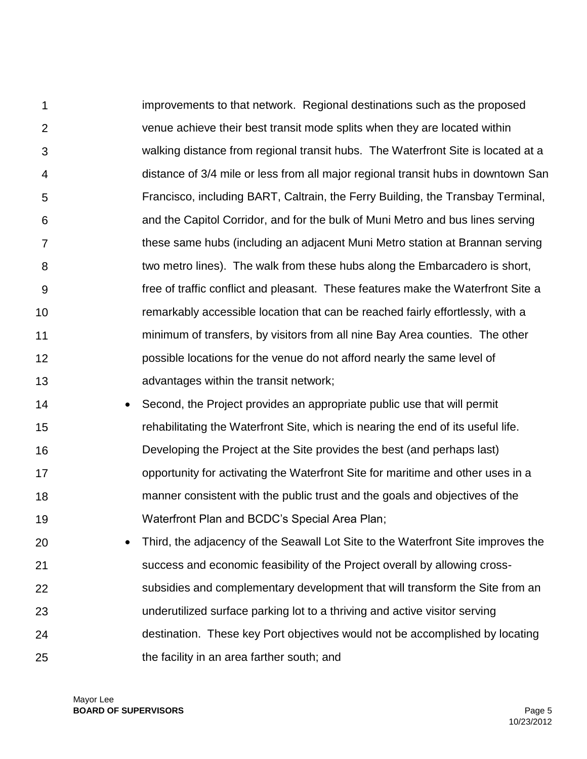1  $\mathcal{P}$ 3 4 5 6 7 8 9 10 11 12 13 improvements to that network. Regional destinations such as the proposed venue achieve their best transit mode splits when they are located within walking distance from regional transit hubs. The Waterfront Site is located at a distance of 3/4 mile or less from all major regional transit hubs in downtown San Francisco, including BART, Caltrain, the Ferry Building, the Transbay Terminal, and the Capitol Corridor, and for the bulk of Muni Metro and bus lines serving these same hubs (including an adjacent Muni Metro station at Brannan serving two metro lines). The walk from these hubs along the Embarcadero is short, free of traffic conflict and pleasant. These features make the Waterfront Site a remarkably accessible location that can be reached fairly effortlessly, with a minimum of transfers, by visitors from all nine Bay Area counties. The other possible locations for the venue do not afford nearly the same level of advantages within the transit network;

- 14 15 16 17 18 19 • Second, the Project provides an appropriate public use that will permit rehabilitating the Waterfront Site, which is nearing the end of its useful life. Developing the Project at the Site provides the best (and perhaps last) opportunity for activating the Waterfront Site for maritime and other uses in a manner consistent with the public trust and the goals and objectives of the Waterfront Plan and BCDC's Special Area Plan;
- 20 21 22 23 24 25 Third, the adjacency of the Seawall Lot Site to the Waterfront Site improves the success and economic feasibility of the Project overall by allowing crosssubsidies and complementary development that will transform the Site from an underutilized surface parking lot to a thriving and active visitor serving destination. These key Port objectives would not be accomplished by locating the facility in an area farther south; and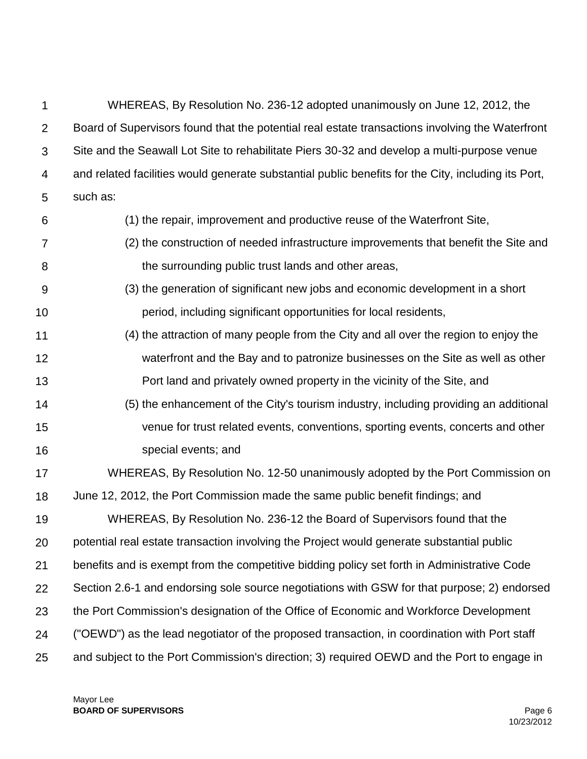| 1              | WHEREAS, By Resolution No. 236-12 adopted unanimously on June 12, 2012, the                         |
|----------------|-----------------------------------------------------------------------------------------------------|
| $\overline{2}$ | Board of Supervisors found that the potential real estate transactions involving the Waterfront     |
| 3              | Site and the Seawall Lot Site to rehabilitate Piers 30-32 and develop a multi-purpose venue         |
| 4              | and related facilities would generate substantial public benefits for the City, including its Port, |
| 5              | such as:                                                                                            |
| 6              | (1) the repair, improvement and productive reuse of the Waterfront Site,                            |
| 7              | (2) the construction of needed infrastructure improvements that benefit the Site and                |
| 8              | the surrounding public trust lands and other areas,                                                 |
| 9              | (3) the generation of significant new jobs and economic development in a short                      |
| 10             | period, including significant opportunities for local residents,                                    |
| 11             | (4) the attraction of many people from the City and all over the region to enjoy the                |
| 12             | waterfront and the Bay and to patronize businesses on the Site as well as other                     |
| 13             | Port land and privately owned property in the vicinity of the Site, and                             |
| 14             | (5) the enhancement of the City's tourism industry, including providing an additional               |
| 15             | venue for trust related events, conventions, sporting events, concerts and other                    |
| 16             | special events; and                                                                                 |
| 17             | WHEREAS, By Resolution No. 12-50 unanimously adopted by the Port Commission on                      |
| 18             | June 12, 2012, the Port Commission made the same public benefit findings; and                       |
| 19             | WHEREAS, By Resolution No. 236-12 the Board of Supervisors found that the                           |
| 20             | potential real estate transaction involving the Project would generate substantial public           |
| 21             | benefits and is exempt from the competitive bidding policy set forth in Administrative Code         |
| 22             | Section 2.6-1 and endorsing sole source negotiations with GSW for that purpose; 2) endorsed         |
| 23             | the Port Commission's designation of the Office of Economic and Workforce Development               |
| 24             | ("OEWD") as the lead negotiator of the proposed transaction, in coordination with Port staff        |
| 25             | and subject to the Port Commission's direction; 3) required OEWD and the Port to engage in          |

Mayor Lee **BOARD OF SUPERVISORS** Page 6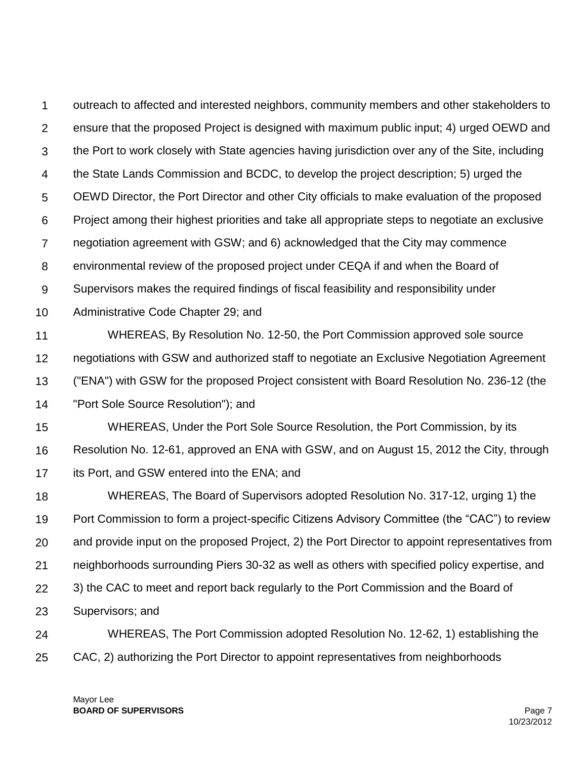1  $\mathcal{P}$ 3 4 5 6 7 8 9 10 11 12 13 14 15 16 17 18 19 20 21 22 23 24 25 outreach to affected and interested neighbors, community members and other stakeholders to ensure that the proposed Project is designed with maximum public input; 4) urged OEWD and the Port to work closely with State agencies having jurisdiction over any of the Site, including the State Lands Commission and BCDC, to develop the project description; 5) urged the OEWD Director, the Port Director and other City officials to make evaluation of the proposed Project among their highest priorities and take all appropriate steps to negotiate an exclusive negotiation agreement with GSW; and 6) acknowledged that the City may commence environmental review of the proposed project under CEQA if and when the Board of Supervisors makes the required findings of fiscal feasibility and responsibility under Administrative Code Chapter 29; and WHEREAS, By Resolution No. 12-50, the Port Commission approved sole source negotiations with GSW and authorized staff to negotiate an Exclusive Negotiation Agreement ("ENA") with GSW for the proposed Project consistent with Board Resolution No. 236-12 (the "Port Sole Source Resolution"); and WHEREAS, Under the Port Sole Source Resolution, the Port Commission, by its Resolution No. 12-61, approved an ENA with GSW, and on August 15, 2012 the City, through its Port, and GSW entered into the ENA; and WHEREAS, The Board of Supervisors adopted Resolution No. 317-12, urging 1) the Port Commission to form a project-specific Citizens Advisory Committee (the "CAC") to review and provide input on the proposed Project, 2) the Port Director to appoint representatives from neighborhoods surrounding Piers 30-32 as well as others with specified policy expertise, and 3) the CAC to meet and report back regularly to the Port Commission and the Board of Supervisors; and WHEREAS, The Port Commission adopted Resolution No. 12-62, 1) establishing the CAC, 2) authorizing the Port Director to appoint representatives from neighborhoods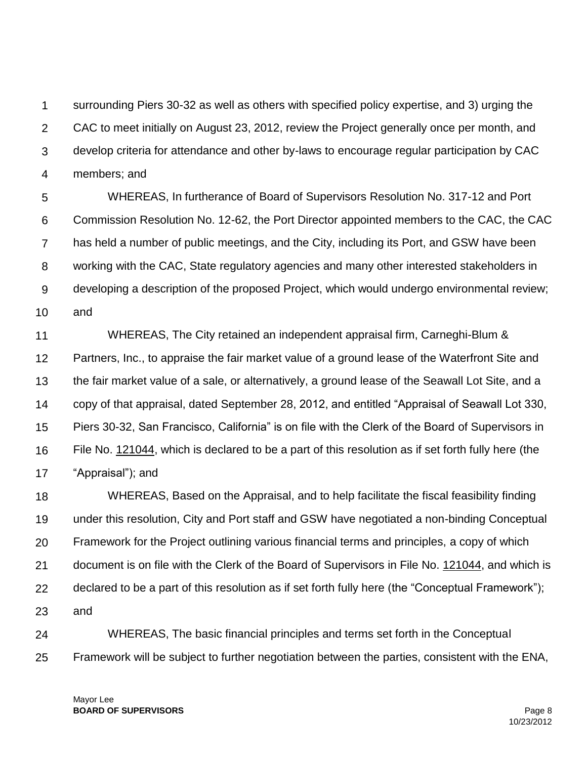1  $\mathcal{P}$ 3 4 surrounding Piers 30-32 as well as others with specified policy expertise, and 3) urging the CAC to meet initially on August 23, 2012, review the Project generally once per month, and develop criteria for attendance and other by-laws to encourage regular participation by CAC members; and

5 6 7 8 9 10 WHEREAS, In furtherance of Board of Supervisors Resolution No. 317-12 and Port Commission Resolution No. 12-62, the Port Director appointed members to the CAC, the CAC has held a number of public meetings, and the City, including its Port, and GSW have been working with the CAC, State regulatory agencies and many other interested stakeholders in developing a description of the proposed Project, which would undergo environmental review; and

11 12 13 14 15 16 17 WHEREAS, The City retained an independent appraisal firm, Carneghi-Blum & Partners, Inc., to appraise the fair market value of a ground lease of the Waterfront Site and the fair market value of a sale, or alternatively, a ground lease of the Seawall Lot Site, and a copy of that appraisal, dated September 28, 2012, and entitled "Appraisal of Seawall Lot 330, Piers 30-32, San Francisco, California" is on file with the Clerk of the Board of Supervisors in File No. 121044, which is declared to be a part of this resolution as if set forth fully here (the "Appraisal"); and

18 19 20 21 22 23 WHEREAS, Based on the Appraisal, and to help facilitate the fiscal feasibility finding under this resolution, City and Port staff and GSW have negotiated a non-binding Conceptual Framework for the Project outlining various financial terms and principles, a copy of which document is on file with the Clerk of the Board of Supervisors in File No. 121044, and which is declared to be a part of this resolution as if set forth fully here (the "Conceptual Framework"); and

24 25 WHEREAS, The basic financial principles and terms set forth in the Conceptual Framework will be subject to further negotiation between the parties, consistent with the ENA,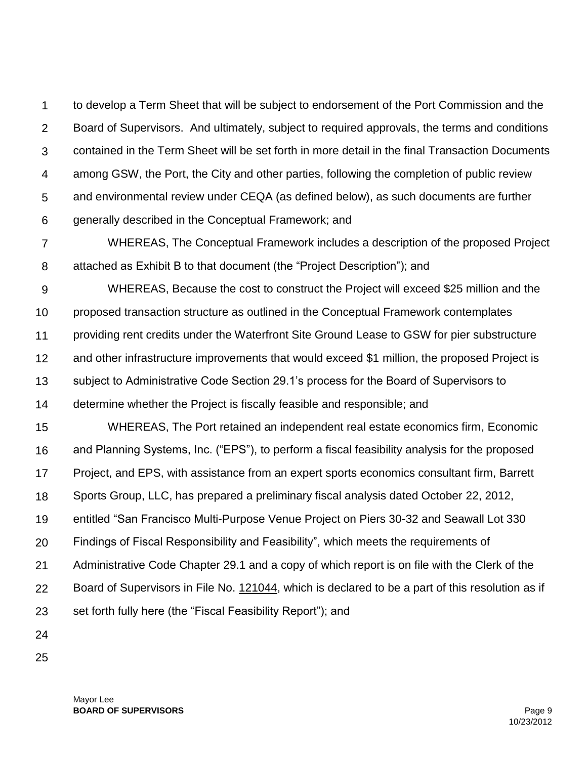1  $\mathcal{P}$ 3 4 5 6 to develop a Term Sheet that will be subject to endorsement of the Port Commission and the Board of Supervisors. And ultimately, subject to required approvals, the terms and conditions contained in the Term Sheet will be set forth in more detail in the final Transaction Documents among GSW, the Port, the City and other parties, following the completion of public review and environmental review under CEQA (as defined below), as such documents are further generally described in the Conceptual Framework; and

7 8 WHEREAS, The Conceptual Framework includes a description of the proposed Project attached as Exhibit B to that document (the "Project Description"); and

9 10 11 12 13 14 WHEREAS, Because the cost to construct the Project will exceed \$25 million and the proposed transaction structure as outlined in the Conceptual Framework contemplates providing rent credits under the Waterfront Site Ground Lease to GSW for pier substructure and other infrastructure improvements that would exceed \$1 million, the proposed Project is subject to Administrative Code Section 29.1's process for the Board of Supervisors to determine whether the Project is fiscally feasible and responsible; and

15 16 17 18 19 20 21 22 23 WHEREAS, The Port retained an independent real estate economics firm, Economic and Planning Systems, Inc. ("EPS"), to perform a fiscal feasibility analysis for the proposed Project, and EPS, with assistance from an expert sports economics consultant firm, Barrett Sports Group, LLC, has prepared a preliminary fiscal analysis dated October 22, 2012, entitled "San Francisco Multi-Purpose Venue Project on Piers 30-32 and Seawall Lot 330 Findings of Fiscal Responsibility and Feasibility", which meets the requirements of Administrative Code Chapter 29.1 and a copy of which report is on file with the Clerk of the Board of Supervisors in File No. 121044, which is declared to be a part of this resolution as if set forth fully here (the "Fiscal Feasibility Report"); and

- 24
- 25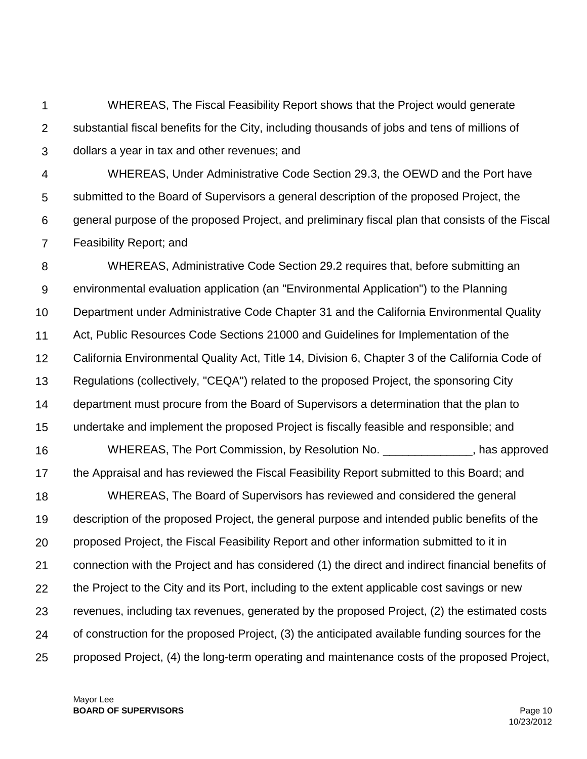1  $\mathcal{P}$ 3 WHEREAS, The Fiscal Feasibility Report shows that the Project would generate substantial fiscal benefits for the City, including thousands of jobs and tens of millions of dollars a year in tax and other revenues; and

4 5 6 7 WHEREAS, Under Administrative Code Section 29.3, the OEWD and the Port have submitted to the Board of Supervisors a general description of the proposed Project, the general purpose of the proposed Project, and preliminary fiscal plan that consists of the Fiscal Feasibility Report; and

8 9 10 11 12 13 14 15 16 17 18 19 20 21 22 23 24 25 WHEREAS, Administrative Code Section 29.2 requires that, before submitting an environmental evaluation application (an "Environmental Application") to the Planning Department under Administrative Code Chapter 31 and the California Environmental Quality Act, Public Resources Code Sections 21000 and Guidelines for Implementation of the California Environmental Quality Act, Title 14, Division 6, Chapter 3 of the California Code of Regulations (collectively, "CEQA") related to the proposed Project, the sponsoring City department must procure from the Board of Supervisors a determination that the plan to undertake and implement the proposed Project is fiscally feasible and responsible; and WHEREAS, The Port Commission, by Resolution No. The state of the subsety of the New York Commission, by Resolution No. the Appraisal and has reviewed the Fiscal Feasibility Report submitted to this Board; and WHEREAS, The Board of Supervisors has reviewed and considered the general description of the proposed Project, the general purpose and intended public benefits of the proposed Project, the Fiscal Feasibility Report and other information submitted to it in connection with the Project and has considered (1) the direct and indirect financial benefits of the Project to the City and its Port, including to the extent applicable cost savings or new revenues, including tax revenues, generated by the proposed Project, (2) the estimated costs of construction for the proposed Project, (3) the anticipated available funding sources for the proposed Project, (4) the long-term operating and maintenance costs of the proposed Project,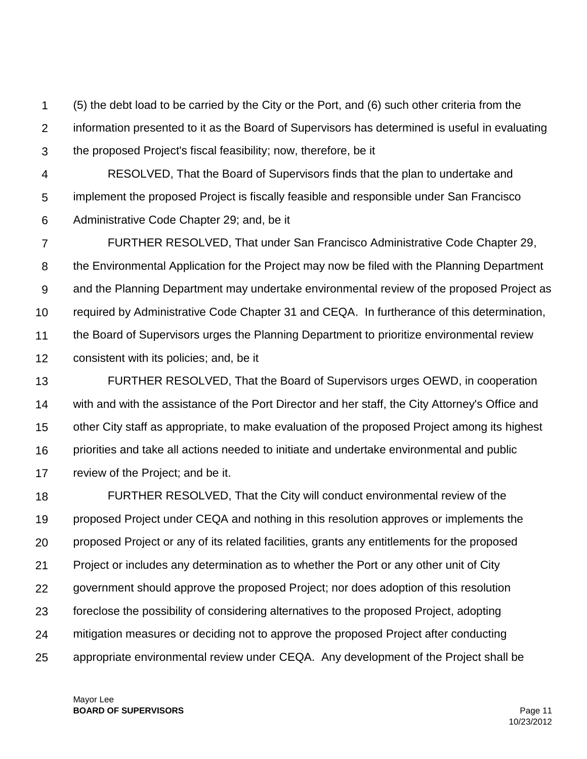1  $\mathcal{P}$ 3 (5) the debt load to be carried by the City or the Port, and (6) such other criteria from the information presented to it as the Board of Supervisors has determined is useful in evaluating the proposed Project's fiscal feasibility; now, therefore, be it

4 5 6 RESOLVED, That the Board of Supervisors finds that the plan to undertake and implement the proposed Project is fiscally feasible and responsible under San Francisco Administrative Code Chapter 29; and, be it

7 8 9 10 11 12 FURTHER RESOLVED, That under San Francisco Administrative Code Chapter 29, the Environmental Application for the Project may now be filed with the Planning Department and the Planning Department may undertake environmental review of the proposed Project as required by Administrative Code Chapter 31 and CEQA. In furtherance of this determination, the Board of Supervisors urges the Planning Department to prioritize environmental review consistent with its policies; and, be it

13 14 15 16 17 FURTHER RESOLVED, That the Board of Supervisors urges OEWD, in cooperation with and with the assistance of the Port Director and her staff, the City Attorney's Office and other City staff as appropriate, to make evaluation of the proposed Project among its highest priorities and take all actions needed to initiate and undertake environmental and public review of the Project; and be it.

18 19 20 21 22 23 24 25 FURTHER RESOLVED, That the City will conduct environmental review of the proposed Project under CEQA and nothing in this resolution approves or implements the proposed Project or any of its related facilities, grants any entitlements for the proposed Project or includes any determination as to whether the Port or any other unit of City government should approve the proposed Project; nor does adoption of this resolution foreclose the possibility of considering alternatives to the proposed Project, adopting mitigation measures or deciding not to approve the proposed Project after conducting appropriate environmental review under CEQA. Any development of the Project shall be

Mayor Lee **BOARD OF SUPERVISORS** Page 11